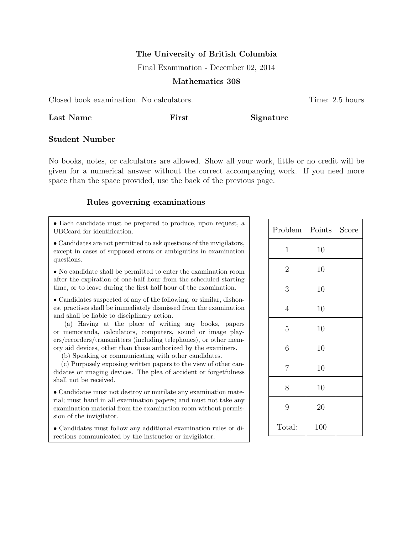## The University of British Columbia

Final Examination - December 02, 2014

### Mathematics 308

Closed book examination. No calculators. Time: 2.5 hours

Last Name First Signature

Student Number

No books, notes, or calculators are allowed. Show all your work, little or no credit will be given for a numerical answer without the correct accompanying work. If you need more space than the space provided, use the back of the previous page.

## Rules governing examinations

• Each candidate must be prepared to produce, upon request, a UBCcard for identification.

• Candidates are not permitted to ask questions of the invigilators, except in cases of supposed errors or ambiguities in examination questions.

• No candidate shall be permitted to enter the examination room after the expiration of one-half hour from the scheduled starting time, or to leave during the first half hour of the examination.

• Candidates suspected of any of the following, or similar, dishonest practises shall be immediately dismissed from the examination and shall be liable to disciplinary action.

(a) Having at the place of writing any books, papers or memoranda, calculators, computers, sound or image players/recorders/transmitters (including telephones), or other memory aid devices, other than those authorized by the examiners.

(b) Speaking or communicating with other candidates.

(c) Purposely exposing written papers to the view of other candidates or imaging devices. The plea of accident or forgetfulness shall not be received.

• Candidates must not destroy or mutilate any examination material; must hand in all examination papers; and must not take any examination material from the examination room without permission of the invigilator.

• Candidates must follow any additional examination rules or directions communicated by the instructor or invigilator.

| Problem        | Points | Score |
|----------------|--------|-------|
| $\mathbf{1}$   | 10     |       |
| $\overline{2}$ | 10     |       |
| $\mathfrak{Z}$ | 10     |       |
| $\overline{4}$ | 10     |       |
| $\overline{5}$ | 10     |       |
| 6              | 10     |       |
| $\overline{7}$ | 10     |       |
| 8              | 10     |       |
| 9              | 20     |       |
| Total:         | 100    |       |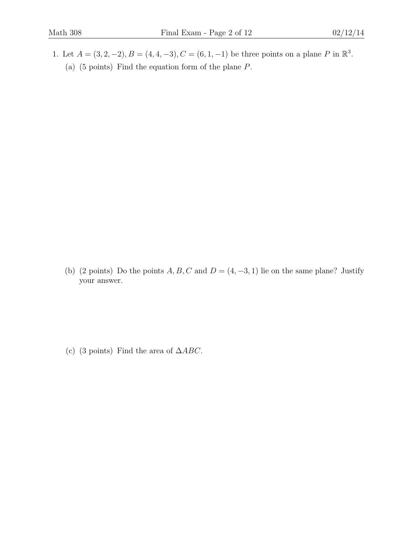1. Let  $A = (3, 2, -2), B = (4, 4, -3), C = (6, 1, -1)$  be three points on a plane P in  $\mathbb{R}^3$ . (a) (5 points) Find the equation form of the plane P.

(b) (2 points) Do the points  $A, B, C$  and  $D = (4, -3, 1)$  lie on the same plane? Justify your answer.

(c) (3 points) Find the area of  $\triangle ABC$ .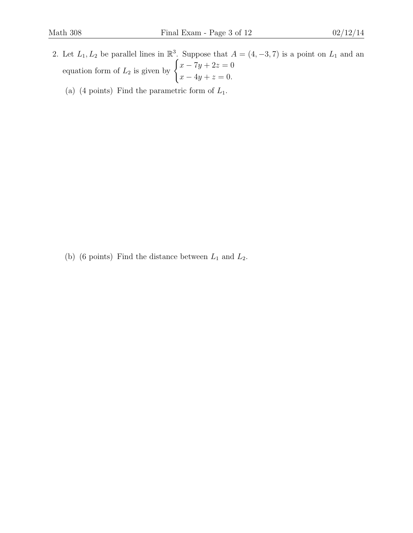- 2. Let  $L_1, L_2$  be parallel lines in  $\mathbb{R}^3$ . Suppose that  $A = (4, -3, 7)$  is a point on  $L_1$  and an equation form of  $L_2$  is given by  $\begin{cases} x - 7y + 2z = 0 \\ 0 \end{cases}$  $x - 4y + z = 0.$ 
	- (a) (4 points) Find the parametric form of  $L_1$ .

(b) (6 points) Find the distance between  $L_1$  and  $L_2$ .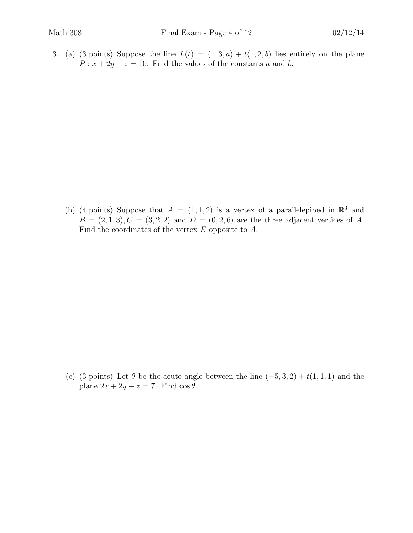3. (a) (3 points) Suppose the line  $L(t) = (1,3,a) + t(1,2,b)$  lies entirely on the plane  $P: x + 2y - z = 10$ . Find the values of the constants a and b.

(b) (4 points) Suppose that  $A = (1, 1, 2)$  is a vertex of a parallelepiped in  $\mathbb{R}^3$  and  $B = (2, 1, 3), C = (3, 2, 2)$  and  $D = (0, 2, 6)$  are the three adjacent vertices of A. Find the coordinates of the vertex E opposite to A.

(c) (3 points) Let  $\theta$  be the acute angle between the line  $(-5, 3, 2) + t(1, 1, 1)$  and the plane  $2x + 2y - z = 7$ . Find  $\cos \theta$ .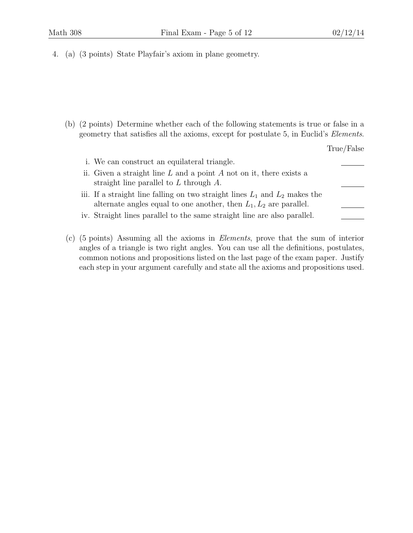4. (a) (3 points) State Playfair's axiom in plane geometry.

(b) (2 points) Determine whether each of the following statements is true or false in a geometry that satisfies all the axioms, except for postulate 5, in Euclid's Elements.

| i. We can construct an equilateral triangle.                                    |  |
|---------------------------------------------------------------------------------|--|
| ii. Given a straight line $L$ and a point $A$ not on it, there exists a         |  |
| straight line parallel to $L$ through $A$ .                                     |  |
| iii. If a straight line falling on two straight lines $L_1$ and $L_2$ makes the |  |
| alternate angles equal to one another, then $L_1, L_2$ are parallel.            |  |
| iv. Straight lines parallel to the same straight line are also parallel.        |  |

(c) (5 points) Assuming all the axioms in Elements, prove that the sum of interior angles of a triangle is two right angles. You can use all the definitions, postulates, common notions and propositions listed on the last page of the exam paper. Justify each step in your argument carefully and state all the axioms and propositions used.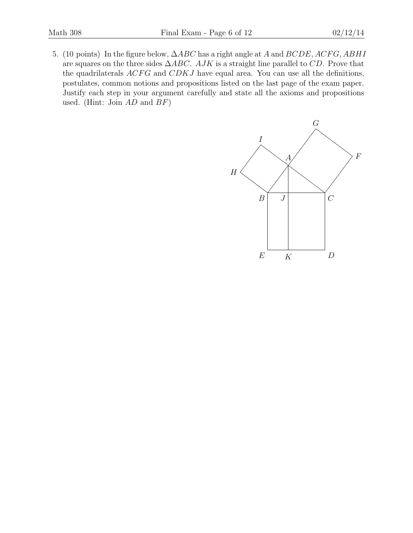5. (10 points) In the figure below,  $\Delta ABC$  has a right angle at A and  $BCDE$ ,  $ACFG$ ,  $ABHI$ are squares on the three sides  $\triangle ABC$ . AJK is a straight line parallel to CD. Prove that the quadrilaterals  $ACFG$  and  $CDKJ$  have equal area. You can use all the definitions, postulates, common notions and propositions listed on the last page of the exam paper. Justify each step in your argument carefully and state all the axioms and propositions used. (Hint: Join  $AD$  and  $BF$ )

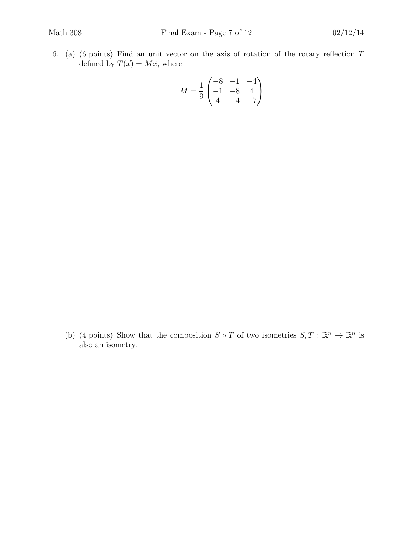6. (a) (6 points) Find an unit vector on the axis of rotation of the rotary reflection T defined by  $T(\vec{x}) = M\vec{x}$ , where

$$
M = \frac{1}{9} \begin{pmatrix} -8 & -1 & -4 \\ -1 & -8 & 4 \\ 4 & -4 & -7 \end{pmatrix}
$$

(b) (4 points) Show that the composition  $S \circ T$  of two isometries  $S, T : \mathbb{R}^n \to \mathbb{R}^n$  is also an isometry.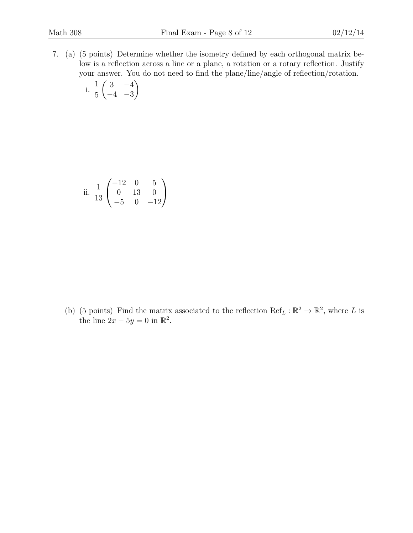7. (a) (5 points) Determine whether the isometry defined by each orthogonal matrix below is a reflection across a line or a plane, a rotation or a rotary reflection. Justify your answer. You do not need to find the plane/line/angle of reflection/rotation.

i. 
$$
\frac{1}{5} \begin{pmatrix} 3 & -4 \ -4 & -3 \end{pmatrix}
$$

ii. 
$$
\frac{1}{13}\begin{pmatrix} -12 & 0 & 5\\ 0 & 13 & 0\\ -5 & 0 & -12 \end{pmatrix}
$$

(b) (5 points) Find the matrix associated to the reflection  $\text{Ref}_L : \mathbb{R}^2 \to \mathbb{R}^2$ , where L is the line  $2x - 5y = 0$  in  $\mathbb{R}^2$ .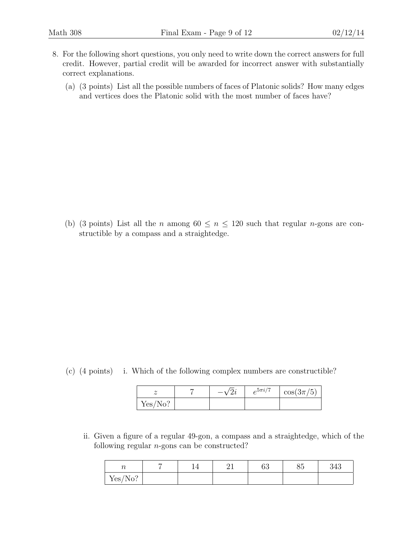- 8. For the following short questions, you only need to write down the correct answers for full credit. However, partial credit will be awarded for incorrect answer with substantially correct explanations.
	- (a) (3 points) List all the possible numbers of faces of Platonic solids? How many edges and vertices does the Platonic solid with the most number of faces have?

(b) (3 points) List all the *n* among  $60 \le n \le 120$  such that regular *n*-gons are constructible by a compass and a straightedge.

(c) (4 points) i. Which of the following complex numbers are constructible?

|         |  | $e^{5\pi i/7}$ | $\cos(3\pi/5)$ |
|---------|--|----------------|----------------|
| Yes/No? |  |                |                |

ii. Given a figure of a regular 49-gon, a compass and a straightedge, which of the following regular  $n$ -gons can be constructed?

| $\sim$<br>' U                          | - | - - | ∼ -<br>-- | $\alpha$<br>UJ | $\sim$ $\sim$<br>۰.<br>$\check{ }$ | າ 4 1<br>343 |
|----------------------------------------|---|-----|-----------|----------------|------------------------------------|--------------|
| Yes/<br>റ<br>$\sqrt{2}$<br>$1\sqrt{1}$ |   |     |           |                |                                    |              |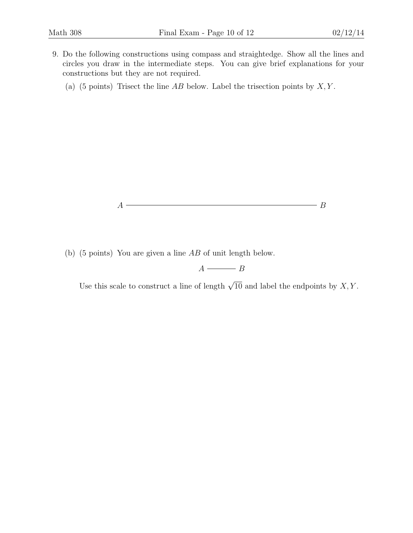- 9. Do the following constructions using compass and straightedge. Show all the lines and circles you draw in the intermediate steps. You can give brief explanations for your constructions but they are not required.
	- (a) (5 points) Trisect the line  $AB$  below. Label the trisection points by  $X, Y$ .



(b) (5 points) You are given a line AB of unit length below.

# $A \longrightarrow B$

Use this scale to construct a line of length  $\sqrt{10}$  and label the endpoints by X, Y.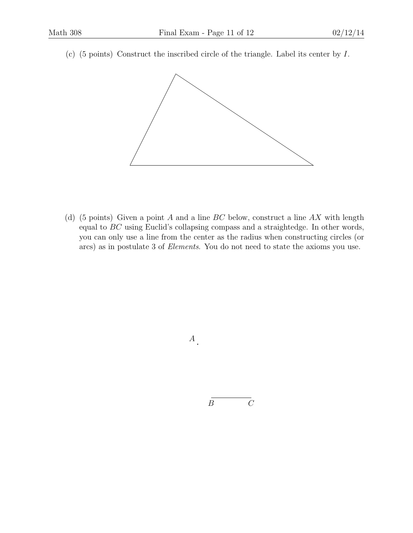(c) (5 points) Construct the inscribed circle of the triangle. Label its center by I.



(d) (5 points) Given a point A and a line  $BC$  below, construct a line  $AX$  with length equal to BC using Euclid's collapsing compass and a straightedge. In other words, you can only use a line from the center as the radius when constructing circles (or arcs) as in postulate 3 of Elements. You do not need to state the axioms you use.

 $A$ .

 $B$   $C$